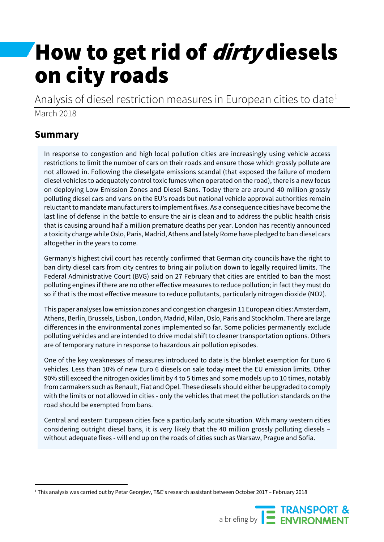# How to get rid of *dirty* diesels on city roads

Analysis of diesel restriction measures in European cities to date $1$ March 2018

# **Summary**

In response to congestion and high local pollution cities are increasingly using vehicle access restrictions to limit the number of cars on their roads and ensure those which grossly pollute are not allowed in. Following the dieselgate emissions scandal (that exposed the failure of modern diesel vehicles to adequately control toxic fumes when operated on the road), there is a new focus on deploying Low Emission Zones and Diesel Bans. Today there are around 40 million grossly polluting diesel cars and vans on the EU's roads but national vehicle approval authorities remain reluctant to mandate manufacturers to implement fixes. As a consequence cities have become the last line of defense in the battle to ensure the air is clean and to address the public health crisis that is causing around half a million premature deaths per year. London has recently announced a toxicity charge while Oslo, Paris, Madrid, Athens and lately Rome have pledged to ban diesel cars altogether in the years to come.

Germany's highest civil court has recently confirmed that German city councils have the right to ban dirty diesel cars from city centres to bring air pollution down to legally required limits. The Federal Administrative Court (BVG) said on 27 February that cities are entitled to ban the most polluting engines if there are no other effective measures to reduce pollution; in fact they must do so if that is the most effective measure to reduce pollutants, particularly nitrogen dioxide (NO2).

This paper analyses low emission zones and congestion charges in 11 European cities: Amsterdam, Athens, Berlin, Brussels, Lisbon, London, Madrid, Milan, Oslo, Paris and Stockholm. There are large differences in the environmental zones implemented so far. Some policies permanently exclude polluting vehicles and are intended to drive modal shift to cleaner transportation options. Others are of temporary nature in response to hazardous air pollution episodes.

One of the key weaknesses of measures introduced to date is the blanket exemption for Euro 6 vehicles. Less than 10% of new Euro 6 diesels on sale today meet the EU emission limits. Other 90% still exceed the nitrogen oxides limit by 4 to 5 times and some models up to 10 times, notably from carmakers such as Renault, Fiat and Opel. These diesels should either be upgraded to comply with the limits or not allowed in cities - only the vehicles that meet the pollution standards on the road should be exempted from bans.

Central and eastern European cities face a particularly acute situation. With many western cities considering outright diesel bans, it is very likely that the 40 million grossly polluting diesels – without adequate fixes - will end up on the roads of cities such as Warsaw, Prague and Sofia.

<span id="page-0-0"></span> <sup>1</sup> This analysis was carried out by Petar Georgiev, T&E's research assistant between October 2017 – February 2018

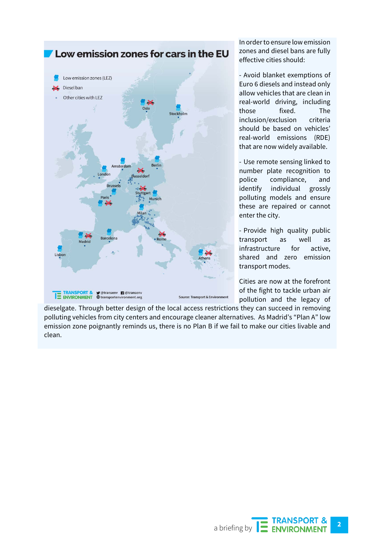

In order to ensure low emission zones and diesel bans are fully effective cities should:

- Avoid blanket exemptions of Euro 6 diesels and instead only allow vehicles that are clean in real-world driving, including those fixed. The inclusion/exclusion criteria should be based on vehicles' real-world emissions (RDE) that are now widely available.

- Use remote sensing linked to number plate recognition to police compliance, and identify individual grossly polluting models and ensure these are repaired or cannot enter the city.

- Provide high quality public transport as well as infrastructure for active, shared and zero emission transport modes.

Cities are now at the forefront of the fight to tackle urban air pollution and the legacy of

dieselgate. Through better design of the local access restrictions they can succeed in removing polluting vehicles from city centers and encourage cleaner alternatives. As Madrid's "Plan A" low emission zone poignantly reminds us, there is no Plan B if we fail to make our cities livable and clean.

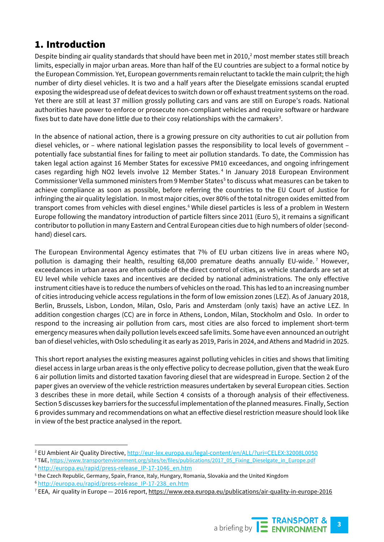# 1. Introduction

Despite binding air quality standards that should have been met in [2](#page-2-0)010, $2$  most member states still breach limits, especially in major urban areas. More than half of the EU countries are subject to a formal notice by the European Commission. Yet, European governments remain reluctant to tackle the main culprit; the high number of dirty diesel vehicles. It is two and a half years after the Dieselgate emissions scandal erupted exposing the widespread use of defeat devices to switch down or off exhaust treatment systems on the road. Yet there are still at least 37 million grossly polluting cars and vans are still on Europe's roads. National authorities have power to enforce or prosecute non-compliant vehicles and require software or hardware fixes but to date have done little due to their cosy relationships with the carmakers<sup>[3](#page-2-1)</sup>.

In the absence of national action, there is a growing pressure on city authorities to cut air pollution from diesel vehicles, or – where national legislation passes the responsibility to local levels of government – potentially face substantial fines for failing to meet air pollution standards. To date, the Commission has taken legal action against 16 Member States for excessive PM10 exceedances, and ongoing infringement cases regarding high NO2 levels involve 12 Member States.<sup>[4](#page-2-2)</sup> In January 2018 European Environment Commissioner Vella summoned ministers from 9 Member States<sup>[5](#page-2-3)</sup> to discuss what measures can be taken to achieve compliance as soon as possible, before referring the countries to the EU Court of Justice for infringing the air quality legislation. In most major cities, over 80% of the total nitrogen oxides emitted from transport comes from vehicles with diesel engines.<sup>[6](#page-2-4)</sup> While diesel particles is less of a problem in Western Europe following the mandatory introduction of particle filters since 2011 (Euro 5), it remains a significant contributor to pollution in many Eastern and Central European cities due to high numbers of older (secondhand) diesel cars.

The European Environmental Agency estimates that 7% of EU urban citizens live in areas where  $NO<sub>2</sub>$ pollution is damaging their health, resulting 68,000 premature deaths annually EU-wide.<sup>[7](#page-2-5)</sup> However, exceedances in urban areas are often outside of the direct control of cities, as vehicle standards are set at EU level while vehicle taxes and incentives are decided by national administrations. The only effective instrument cities have is to reduce the numbers of vehicles on the road. This has led to an increasing number of cities introducing vehicle access regulations in the form of low emission zones (LEZ). As of January 2018, Berlin, Brussels, Lisbon, London, Milan, Oslo, Paris and Amsterdam (only taxis) have an active LEZ. In addition congestion charges (CC) are in force in Athens, London, Milan, Stockholm and Oslo. In order to respond to the increasing air pollution from cars, most cities are also forced to implement short-term emergency measures when daily pollution levels exceed safe limits. Some have even announced an outright ban of diesel vehicles, with Oslo scheduling it as early as 2019, Paris in 2024, and Athens and Madrid in 2025.

This short report analyses the existing measures against polluting vehicles in cities and shows that limiting diesel access in large urban areas is the only effective policy to decrease pollution, given that the weak Euro 6 air pollution limits and distorted taxation favoring diesel that are widespread in Europe. Section 2 of the paper gives an overview of the vehicle restriction measures undertaken by several European cities. Section 3 describes these in more detail, while Section 4 consists of a thorough analysis of their effectiveness. Section 5 discusses key barriers for the successful implementation of the planned measures. Finally, Section 6 provides summary and recommendations on what an effective diesel restriction measure should look like in view of the best practice analysed in the report.

<span id="page-2-0"></span><sup>&</sup>lt;sup>2</sup> EU Ambient Air Quality Directive[, http://eur-lex.europa.eu/legal-content/en/ALL/?uri=CELEX:32008L0050](http://eur-lex.europa.eu/legal-content/en/ALL/?uri=CELEX:32008L0050)

<span id="page-2-1"></span><sup>3</sup> T&E[, https://www.transportenvironment.org/sites/te/files/publications/2017\\_05\\_Fixing\\_Dieselgate\\_in\\_Europe.pdf](https://www.transportenvironment.org/sites/te/files/publications/2017_05_Fixing_Dieselgate_in_Europe.pdf)

<span id="page-2-2"></span><sup>4</sup> [http://europa.eu/rapid/press-release\\_IP-17-1046\\_en.htm](http://europa.eu/rapid/press-release_IP-17-1046_en.htm)

<span id="page-2-3"></span><sup>5</sup> the Czech Republic, Germany, Spain, France, Italy, Hungary, Romania, Slovakia and the United Kingdom

<span id="page-2-4"></span><sup>6</sup> [http://europa.eu/rapid/press-release\\_IP-17-238\\_en.htm](http://europa.eu/rapid/press-release_IP-17-238_en.htm)

<span id="page-2-5"></span><sup>7</sup> EEA, Air quality in Europe — 2016 report[, https://www.eea.europa.eu/publications/air-quality-in-europe-2016](https://www.eea.europa.eu/publications/air-quality-in-europe-2016)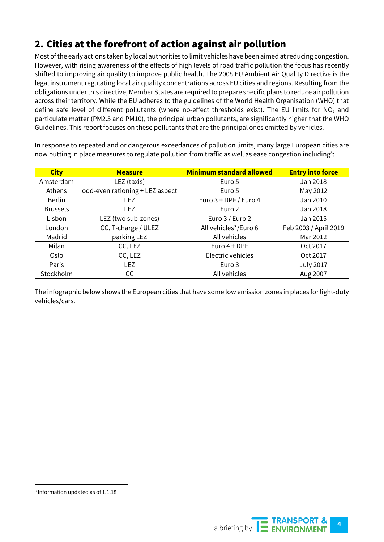# 2. Cities at the forefront of action against air pollution

Most of the early actions taken by local authorities to limit vehicles have been aimed at reducing congestion. However, with rising awareness of the effects of high levels of road traffic pollution the focus has recently shifted to improving air quality to improve public health. The 2008 EU Ambient Air Quality Directive is the legal instrument regulating local air quality concentrations across EU cities and regions. Resulting from the obligations under this directive, Member States are required to prepare specific plans to reduce air pollution across their territory. While the EU adheres to the guidelines of the World Health Organisation (WHO) that define safe level of different pollutants (where no-effect thresholds exist). The EU limits for NO<sub>2</sub> and particulate matter (PM2.5 and PM10), the principal urban pollutants, are significantly higher that the WHO Guidelines. This report focuses on these pollutants that are the principal ones emitted by vehicles.

In response to repeated and or dangerous exceedances of pollution limits, many large European cities are now putting in place measures to regulate pollution from traffic as well as ease congestion including<sup>[8](#page-3-0)</sup>:

| <b>City</b>     | <b>Measure</b>                  | <b>Minimum standard allowed</b> | <b>Entry into force</b> |
|-----------------|---------------------------------|---------------------------------|-------------------------|
| Amsterdam       | LEZ (taxis)                     | Euro 5                          | Jan 2018                |
| Athens          | odd-even rationing + LEZ aspect | Euro 5                          | May 2012                |
| <b>Berlin</b>   | <b>LEZ</b>                      | Euro 3 + DPF / Euro 4           | Jan 2010                |
| <b>Brussels</b> | LF <sub>7</sub>                 | Euro 2                          | Jan 2018                |
| Lisbon          | LEZ (two sub-zones)             | Euro 3 / Euro 2                 | Jan 2015                |
| London          | CC, T-charge / ULEZ             | All vehicles*/Euro 6            | Feb 2003 / April 2019   |
| Madrid          | parking LEZ                     | All vehicles                    | Mar 2012                |
| Milan           | CC, LEZ                         | Euro $4 + DPF$                  | Oct 2017                |
| Oslo            | CC, LEZ                         | Electric vehicles               | Oct 2017                |
| Paris           | <b>LEZ</b>                      | Euro 3                          | <b>July 2017</b>        |
| Stockholm       | CC.                             | All vehicles                    | Aug 2007                |

The infographic below shows the European cities that have some low emission zones in places for light-duty vehicles/cars.



<span id="page-3-0"></span> <sup>8</sup> Information updated as of 1.1.18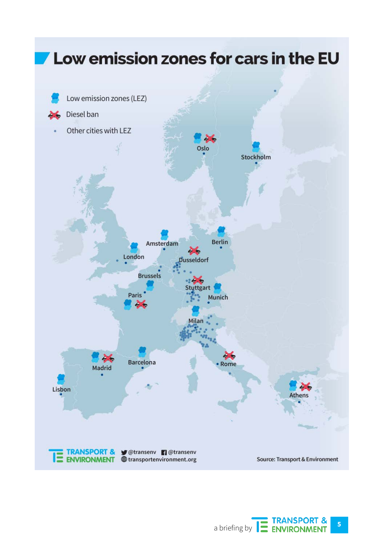

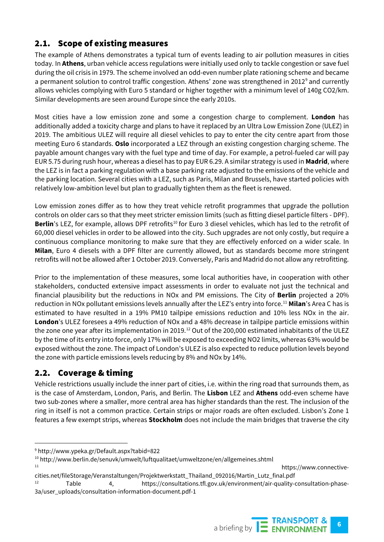## 2.1. Scope of existing measures

The example of Athens demonstrates a typical turn of events leading to air pollution measures in cities today. In **Athens**, urban vehicle access regulations were initially used only to tackle congestion or save fuel during the oil crisis in 1979. The scheme involved an odd-even number plate rationing scheme and became a permanent solution to control traffic congestion. Athens' zone was strengthened in 2012<sup>[9](#page-5-0)</sup> and currently allows vehicles complying with Euro 5 standard or higher together with a minimum level of 140g CO2/km. Similar developments are seen around Europe since the early 2010s.

Most cities have a low emission zone and some a congestion charge to complement. **London** has additionally added a toxicity charge and plans to have it replaced by an Ultra Low Emission Zone (ULEZ) in 2019. The ambitious ULEZ will require all diesel vehicles to pay to enter the city centre apart from those meeting Euro 6 standards. **Oslo** incorporated a LEZ through an existing congestion charging scheme. The payable amount changes vary with the fuel type and time of day. For example, a petrol-fueled car will pay EUR 5.75 during rush hour, whereas a diesel has to pay EUR 6.29. A similar strategy is used in **Madrid**, where the LEZ is in fact a parking regulation with a base parking rate adjusted to the emissions of the vehicle and the parking location. Several cities with a LEZ, such as Paris, Milan and Brussels, have started policies with relatively low-ambition level but plan to gradually tighten them as the fleet is renewed.

Low emission zones differ as to how they treat vehicle retrofit programmes that upgrade the pollution controls on older cars so that they meet stricter emission limits (such as fitting diesel particle filters - DPF). **Berlin**'s LEZ, for example, allows DPF retrofits<sup>[10](#page-5-1)</sup> for Euro 3 diesel vehicles, which has led to the retrofit of 60,000 diesel vehicles in order to be allowed into the city. Such upgrades are not only costly, but require a continuous compliance monitoring to make sure that they are effectively enforced on a wider scale. In **Milan**, Euro 4 diesels with a DPF filter are currently allowed, but as standards become more stringent retrofits will not be allowed after 1 October 2019. Conversely, Paris and Madrid do not allow any retrofitting.

Prior to the implementation of these measures, some local authorities have, in cooperation with other stakeholders, conducted extensive impact assessments in order to evaluate not just the technical and financial plausibility but the reductions in NOx and PM emissions. The City of **Berlin** projected a 20% reduction in NOx pollutant emissions levels annually after the LEZ's entry into force. [11](#page-5-2) **Milan**'s Area C has is estimated to have resulted in a 19% PM10 tailpipe emissions reduction and 10% less NOx in the air. **London**'s ULEZ foresees a 49% reduction of NOx and a 48% decrease in tailpipe particle emissions within the zone one year after its implementation in 2019.<sup>[12](#page-5-3)</sup> Out of the 200,000 estimated inhabitants of the ULEZ by the time of its entry into force, only 17% will be exposed to exceeding NO2 limits, whereas 63% would be exposed without the zone. The impact of London's ULEZ is also expected to reduce pollution levels beyond the zone with particle emissions levels reducing by 8% and NOx by 14%.

## 2.2. Coverage & timing

Vehicle restrictions usually include the inner part of cities, i.e. within the ring road that surrounds them, as is the case of Amsterdam, London, Paris, and Berlin. The **Lisbon** LEZ and **Athens** odd-even scheme have two sub-zones where a smaller, more central area has higher standards than the rest. The inclusion of the ring in itself is not a common practice. Certain strips or major roads are often excluded. Lisbon's Zone 1 features a few exempt strips, whereas **Stockholm** does not include the main bridges that traverse the city

https://www.connective-



<span id="page-5-0"></span> <sup>9</sup> http://www.ypeka.gr/Default.aspx?tabid=822

<span id="page-5-2"></span><span id="page-5-1"></span><sup>10</sup> http://www.berlin.de/senuvk/umwelt/luftqualitaet/umweltzone/en/allgemeines.shtml

<span id="page-5-3"></span>cities.net/fileStorage/Veranstaltungen/Projektwerkstatt\_Thailand\_092016/Martin\_Lutz\_final.pdf <sup>12</sup> Table 4, https://consultations.tfl.gov.uk/environment/air-quality-consultation-phase-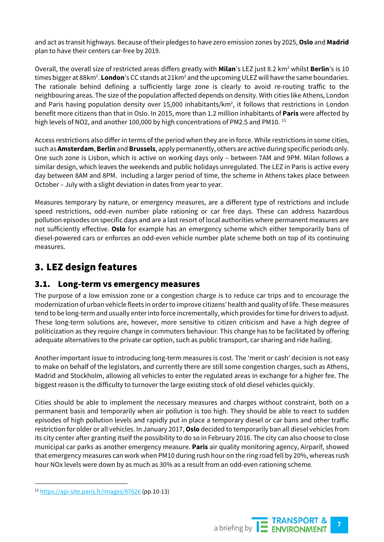and act as transit highways. Because of their pledges to have zero emission zones by 2025, **Oslo** and **Madrid** plan to have their centers car-free by 2019.

Overall, the overall size of restricted areas differs greatly with **Milan**'s LEZ just 8.2 km<sup>2</sup> whilst **Berlin**'s is 10 times bigger at 88km<sup>2</sup>. **London**'s CC stands at 21km<sup>2</sup> and the upcoming ULEZ will have the same boundaries. The rationale behind defining a sufficiently large zone is clearly to avoid re-routing traffic to the neighbouring areas. The size of the population affected depends on density. With cities like Athens, London and Paris having population density over 15,000 inhabitants/km<sup>2</sup>, it follows that restrictions in London benefit more citizens than that in Oslo. In 2015, more than 1.2 million inhabitants of **Paris** were affected by high levels of NO2, and another 100,000 by high concentrations of PM2.5 and PM10.<sup>[13](#page-6-0)</sup>

Access restrictions also differ in terms of the period when they are in force. While restrictions in some cities, such as **Amsterdam**, **Berlin** and **Brussels**, apply permanently, others are active during specific periods only. One such zone is Lisbon, which is active on working days only – between 7AM and 9PM. Milan follows a similar design, which leaves the weekends and public holidays unregulated. The LEZ in Paris is active every day between 8AM and 8PM. Including a larger period of time, the scheme in Athens takes place between October – July with a slight deviation in dates from year to year.

Measures temporary by nature, or emergency measures, are a different type of restrictions and include speed restrictions, odd-even number plate rationing or car free days. These can address hazardous pollution episodes on specific days and are a last resort of local authorities where permanent measures are not sufficiently effective. **Oslo** for example has an emergency scheme which either temporarily bans of diesel-powered cars or enforces an odd-even vehicle number plate scheme both on top of its continuing measures.

# 3. LEZ design features

#### 3.1. Long-term vs emergency measures

The purpose of a low emission zone or a congestion charge is to reduce car trips and to encourage the modernization of urban vehicle fleets in order to improve citizens' health and quality of life. These measures tend to be long-term and usually enter into force incrementally, which provides for time for drivers to adjust. These long-term solutions are, however, more sensitive to citizen criticism and have a high degree of politicization as they require change in commuters behaviour. This change has to be facilitated by offering adequate alternatives to the private car option, such as public transport, car sharing and ride hailing.

Another important issue to introducing long-term measures is cost. The 'merit or cash' decision is not easy to make on behalf of the legislators, and currently there are still some congestion charges, such as Athens, Madrid and Stockholm, allowing all vehicles to enter the regulated areas in exchange for a higher fee. The biggest reason is the difficulty to turnover the large existing stock of old diesel vehicles quickly.

Cities should be able to implement the necessary measures and charges without constraint, both on a permanent basis and temporarily when air pollution is too high. They should be able to react to sudden episodes of high pollution levels and rapidly put in place a temporary diesel or car bans and other traffic restriction for older or all vehicles. In January 2017, **Oslo** decided to temporarily ban all diesel vehicles from its city center after granting itself the possibility to do so in February 2016. The city can also choose to close municipal car parks as another emergency measure. **Paris** air quality monitoring agency, Airparif, showed that emergency measures can work when PM10 during rush hour on the ring road fell by 20%, whereas rush hour NOx levels were down by as much as 30% as a result from an odd-even rationing scheme.



<span id="page-6-0"></span> <sup>13</sup> <https://api-site.paris.fr/images/87626> (pp.10-13)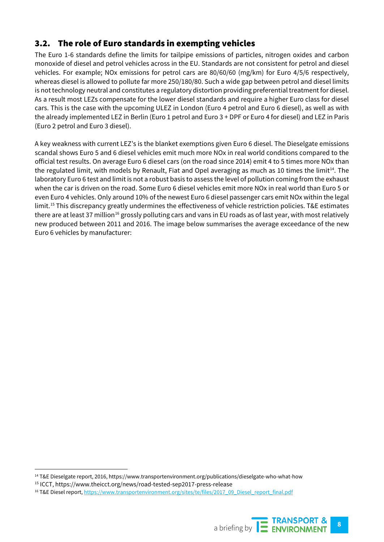## 3.2. The role of Euro standards in exempting vehicles

The Euro 1-6 standards define the limits for tailpipe emissions of particles, nitrogen oxides and carbon monoxide of diesel and petrol vehicles across in the EU. Standards are not consistent for petrol and diesel vehicles. For example; NOx emissions for petrol cars are 80/60/60 (mg/km) for Euro 4/5/6 respectively, whereas diesel is allowed to pollute far more 250/180/80. Such a wide gap between petrol and diesel limits is not technology neutral and constitutes a regulatory distortion providing preferential treatment for diesel. As a result most LEZs compensate for the lower diesel standards and require a higher Euro class for diesel cars. This is the case with the upcoming ULEZ in London (Euro 4 petrol and Euro 6 diesel), as well as with the already implemented LEZ in Berlin (Euro 1 petrol and Euro 3 + DPF or Euro 4 for diesel) and LEZ in Paris (Euro 2 petrol and Euro 3 diesel).

A key weakness with current LEZ's is the blanket exemptions given Euro 6 diesel. The Dieselgate emissions scandal shows Euro 5 and 6 diesel vehicles emit much more NOx in real world conditions compared to the official test results. On average Euro 6 diesel cars (on the road since 2014) emit 4 to 5 times more NOx than the regulated limit, with models by Renault, Fiat and Opel averaging as much as 10 times the limit<sup>14</sup>. The laboratory Euro 6 test and limit is not a robust basis to assess the level of pollution coming from the exhaust when the car is driven on the road. Some Euro 6 diesel vehicles emit more NOx in real world than Euro 5 or even Euro 4 vehicles. Only around 10% of the newest Euro 6 diesel passenger cars emit NOx within the legal limit.[15](#page-7-1) This discrepancy greatly undermines the effectiveness of vehicle restriction policies. T&E estimates there are at least 37 million<sup>[16](#page-7-2)</sup> grossly polluting cars and vans in EU roads as of last year, with most relatively new produced between 2011 and 2016. The image below summarises the average exceedance of the new Euro 6 vehicles by manufacturer:

<span id="page-7-0"></span> <sup>14</sup> T&E Dieselgate report, 2016, https://www.transportenvironment.org/publications/dieselgate-who-what-how

<span id="page-7-1"></span><sup>15</sup> ICCT, https://www.theicct.org/news/road-tested-sep2017-press-release

<span id="page-7-2"></span><sup>&</sup>lt;sup>16</sup> T&E Diesel report[, https://www.transportenvironment.org/sites/te/files/2017\\_09\\_Diesel\\_report\\_final.pdf](https://www.transportenvironment.org/sites/te/files/2017_09_Diesel_report_final.pdf)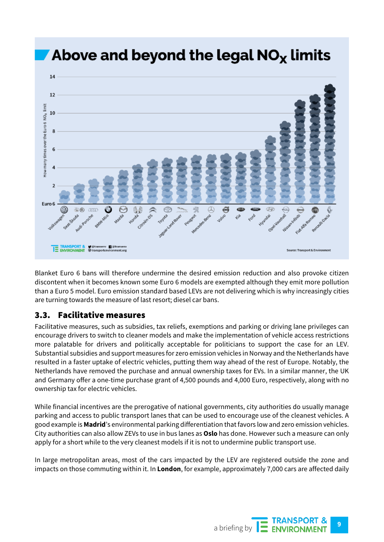

Blanket Euro 6 bans will therefore undermine the desired emission reduction and also provoke citizen discontent when it becomes known some Euro 6 models are exempted although they emit more pollution than a Euro 5 model. Euro emission standard based LEVs are not delivering which is why increasingly cities are turning towards the measure of last resort; diesel car bans.

#### 3.3. Facilitative measures

Facilitative measures, such as subsidies, tax reliefs, exemptions and parking or driving lane privileges can encourage drivers to switch to cleaner models and make the implementation of vehicle access restrictions more palatable for drivers and politically acceptable for politicians to support the case for an LEV. Substantial subsidies and support measures for zero emission vehicles in Norway and the Netherlands have resulted in a faster uptake of electric vehicles, putting them way ahead of the rest of Europe. Notably, the Netherlands have removed the purchase and annual ownership taxes for EVs. In a similar manner, the UK and Germany offer a one-time purchase grant of 4,500 pounds and 4,000 Euro, respectively, along with no ownership tax for electric vehicles.

While financial incentives are the prerogative of national governments, city authorities do usually manage parking and access to public transport lanes that can be used to encourage use of the cleanest vehicles. A good example is **Madrid**'s environmental parking differentiation that favors low and zero emission vehicles. City authorities can also allow ZEVs to use in bus lanes as **Oslo** has done. However such a measure can only apply for a short while to the very cleanest models if it is not to undermine public transport use.

In large metropolitan areas, most of the cars impacted by the LEV are registered outside the zone and impacts on those commuting within it. In **London**, for example, approximately 7,000 cars are affected daily

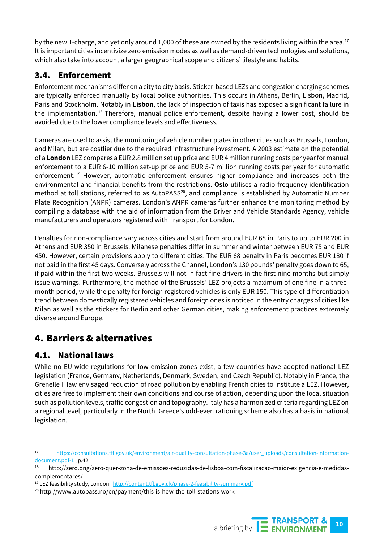by the new T-charge, and yet only around 1,000 of these are owned by the residents living within the area. [17](#page-9-0) It is important cities incentivize zero emission modes as well as demand-driven technologies and solutions, which also take into account a larger geographical scope and citizens' lifestyle and habits.

## 3.4. Enforcement

Enforcement mechanisms differ on a city to city basis. Sticker-based LEZs and congestion charging schemes are typically enforced manually by local police authorities. This occurs in Athens, Berlin, Lisbon, Madrid, Paris and Stockholm. Notably in **Lisbon**, the lack of inspection of taxis has exposed a significant failure in the implementation.<sup>[18](#page-9-1)</sup> Therefore, manual police enforcement, despite having a lower cost, should be avoided due to the lower compliance levels and effectiveness.

Cameras are used to assist the monitoring of vehicle number plates in other cities such as Brussels, London, and Milan, but are costlier due to the required infrastructure investment. A 2003 estimate on the potential of a **London** LEZ compares a EUR 2.8 million set up price and EUR 4 million running costs per year for manual enforcement to a EUR 6-10 million set-up price and EUR 5-7 million running costs per year for automatic enforcement.<sup>[19](#page-9-2)</sup> However, automatic enforcement ensures higher compliance and increases both the environmental and financial benefits from the restrictions. **Oslo** utilises a radio-frequency identification method at toll stations, referred to as AutoPASS<sup>[20](#page-9-3)</sup>, and compliance is established by Automatic Number Plate Recognition (ANPR) cameras. London's ANPR cameras further enhance the monitoring method by compiling a database with the aid of information from the Driver and Vehicle Standards Agency, vehicle manufacturers and operators registered with Transport for London.

Penalties for non-compliance vary across cities and start from around EUR 68 in Paris to up to EUR 200 in Athens and EUR 350 in Brussels. Milanese penalties differ in summer and winter between EUR 75 and EUR 450. However, certain provisions apply to different cities. The EUR 68 penalty in Paris becomes EUR 180 if not paid in the first 45 days. Conversely across the Channel, London's 130 pounds' penalty goes down to 65, if paid within the first two weeks. Brussels will not in fact fine drivers in the first nine months but simply issue warnings. Furthermore, the method of the Brussels' LEZ projects a maximum of one fine in a threemonth period, while the penalty for foreign registered vehicles is only EUR 150. This type of differentiation trend between domestically registered vehicles and foreign ones is noticed in the entry charges of cities like Milan as well as the stickers for Berlin and other German cities, making enforcement practices extremely diverse around Europe.

# 4. Barriers & alternatives

## 4.1. National laws

While no EU-wide regulations for low emission zones exist, a few countries have adopted national LEZ legislation (France, Germany, Netherlands, Denmark, Sweden, and Czech Republic). Notably in France, the Grenelle II law envisaged reduction of road pollution by enabling French cities to institute a LEZ. However, cities are free to implement their own conditions and course of action, depending upon the local situation such as pollution levels, traffic congestion and topography. Italy has a harmonized criteria regarding LEZ on a regional level, particularly in the North. Greece's odd-even rationing scheme also has a basis in national legislation.

<span id="page-9-3"></span><sup>20</sup> http://www.autopass.no/en/payment/this-is-how-the-toll-stations-work



<span id="page-9-0"></span> <sup>17</sup> [https://consultations.tfl.gov.uk/environment/air-quality-consultation-phase-3a/user\\_uploads/consultation-information](https://consultations.tfl.gov.uk/environment/air-quality-consultation-phase-3a/user_uploads/consultation-information-document.pdf-1)[document.pdf-1](https://consultations.tfl.gov.uk/environment/air-quality-consultation-phase-3a/user_uploads/consultation-information-document.pdf-1) , p.42

<span id="page-9-1"></span><sup>18</sup> http://zero.ong/zero-quer-zona-de-emissoes-reduzidas-de-lisboa-com-fiscalizacao-maior-exigencia-e-medidascomplementares/

<span id="page-9-2"></span><sup>&</sup>lt;sup>19</sup> LEZ feasibility study, London [: http://content.tfl.gov.uk/phase-2-feasibility-summary.pdf](http://content.tfl.gov.uk/phase-2-feasibility-summary.pdf)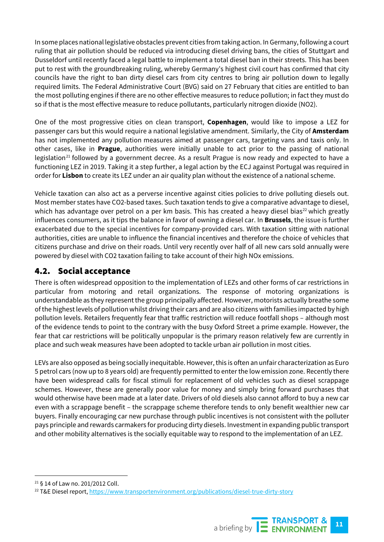In some places national legislative obstacles prevent cities from taking action. In Germany, following a court ruling that air pollution should be reduced via introducing diesel driving bans, the cities of Stuttgart and Dusseldorf until recently faced a legal battle to implement a total diesel ban in their streets. This has been put to rest with the groundbreaking ruling, whereby Germany's highest civil court has confirmed that city councils have the right to ban dirty diesel cars from city centres to bring air pollution down to legally required limits. The Federal Administrative Court (BVG) said on 27 February that cities are entitled to ban the most polluting engines if there are no other effective measures to reduce pollution; in fact they must do so if that is the most effective measure to reduce pollutants, particularly nitrogen dioxide (NO2).

One of the most progressive cities on clean transport, **Copenhagen**, would like to impose a LEZ for passenger cars but this would require a national legislative amendment. Similarly, the City of **Amsterdam** has not implemented any pollution measures aimed at passenger cars, targeting vans and taxis only. In other cases, like in **Prague**, authorities were initially unable to act prior to the passing of national legislation<sup>[21](#page-10-0)</sup> followed by a government decree. As a result Prague is now ready and expected to have a functioning LEZ in 2019. Taking it a step further, a legal action by the ECJ against Portugal was required in order for **Lisbon** to create its LEZ under an air quality plan without the existence of a national scheme.

Vehicle taxation can also act as a perverse incentive against cities policies to drive polluting diesels out. Most member states have CO2-based taxes. Such taxation tends to give a comparative advantage to diesel, which has advantage over petrol on a per km basis. This has created a heavy diesel bias<sup>[22](#page-10-1)</sup> which greatly influences consumers, as it tips the balance in favor of owning a diesel car. In **Brussels**, the issue is further exacerbated due to the special incentives for company-provided cars. With taxation sitting with national authorities, cities are unable to influence the financial incentives and therefore the choice of vehicles that citizens purchase and drive on their roads. Until very recently over half of all new cars sold annually were powered by diesel with CO2 taxation failing to take account of their high NOx emissions.

#### 4.2. Social acceptance

There is often widespread opposition to the implementation of LEZs and other forms of car restrictions in particular from motoring and retail organizations. The response of motoring organizations is understandable as they represent the group principally affected. However, motorists actually breathe some of the highest levels of pollution whilst driving their cars and are also citizens with families impacted by high pollution levels. Retailers frequently fear that traffic restriction will reduce footfall shops – although most of the evidence tends to point to the contrary with the busy Oxford Street a prime example. However, the fear that car restrictions will be politically unpopular is the primary reason relatively few are currently in place and such weak measures have been adopted to tackle urban air pollution in most cities.

LEVs are also opposed as being socially inequitable. However, this is often an unfair characterization as Euro 5 petrol cars (now up to 8 years old) are frequently permitted to enter the low emission zone. Recently there have been widespread calls for fiscal stimuli for replacement of old vehicles such as diesel scrappage schemes. However, these are generally poor value for money and simply bring forward purchases that would otherwise have been made at a later date. Drivers of old diesels also cannot afford to buy a new car even with a scrappage benefit – the scrappage scheme therefore tends to only benefit wealthier new car buyers. Finally encouraging car new purchase through public incentives is not consistent with the polluter pays principle and rewards carmakers for producing dirty diesels. Investment in expanding public transport and other mobility alternatives is the socially equitable way to respond to the implementation of an LEZ.

<span id="page-10-1"></span><sup>&</sup>lt;sup>22</sup> T&E Diesel report[, https://www.transportenvironment.org/publications/diesel-true-dirty-story](https://www.transportenvironment.org/publications/diesel-true-dirty-story)



<span id="page-10-0"></span> <sup>21</sup> § 14 of Law no. 201/2012 Coll.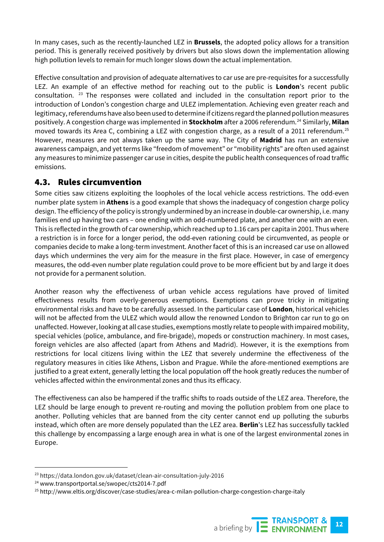In many cases, such as the recently-launched LEZ in **Brussels**, the adopted policy allows for a transition period. This is generally received positively by drivers but also slows down the implementation allowing high pollution levels to remain for much longer slows down the actual implementation.

Effective consultation and provision of adequate alternatives to car use are pre-requisites for a successfully LEZ. An example of an effective method for reaching out to the public is **London**'s recent public consultation. [23](#page-11-0) The responses were collated and included in the consultation report prior to the introduction of London's congestion charge and ULEZ implementation. Achieving even greater reach and legitimacy, referendums have also been used to determine if citizens regard the planned pollution measures positively. A congestion charge was implemented in **Stockholm** after a 2006 referendum.[24](#page-11-1) Similarly, **Milan** moved towards its Area C, combining a LEZ with congestion charge, as a result of a 2011 referendum.<sup>[25](#page-11-2)</sup> However, measures are not always taken up the same way. The City of **Madrid** has run an extensive awareness campaign, and yet terms like "freedom of movement" or "mobility rights" are often used against any measures to minimize passenger car use in cities, despite the public health consequences of road traffic emissions.

#### 4.3. Rules circumvention

Some cities saw citizens exploiting the loopholes of the local vehicle access restrictions. The odd-even number plate system in **Athens** is a good example that shows the inadequacy of congestion charge policy design. The efficiency of the policy is strongly undermined by an increase in double-car ownership, i.e. many families end up having two cars – one ending with an odd-numbered plate, and another one with an even. This is reflected in the growth of car ownership, which reached up to 1.16 cars per capita in 2001. Thus where a restriction is in force for a longer period, the odd-even rationing could be circumvented, as people or companies decide to make a long-term investment. Another facet of this is an increased car use on allowed days which undermines the very aim for the measure in the first place. However, in case of emergency measures, the odd-even number plate regulation could prove to be more efficient but by and large it does not provide for a permanent solution.

Another reason why the effectiveness of urban vehicle access regulations have proved of limited effectiveness results from overly-generous exemptions. Exemptions can prove tricky in mitigating environmental risks and have to be carefully assessed. In the particular case of **London**, historical vehicles will not be affected from the ULEZ which would allow the renowned London to Brighton car run to go on unaffected. However, looking at all case studies, exemptions mostly relate to people with impaired mobility, special vehicles (police, ambulance, and fire-brigade), mopeds or construction machinery. In most cases, foreign vehicles are also affected (apart from Athens and Madrid). However, it is the exemptions from restrictions for local citizens living within the LEZ that severely undermine the effectiveness of the regulatory measures in cities like Athens, Lisbon and Prague. While the afore-mentioned exemptions are justified to a great extent, generally letting the local population off the hook greatly reduces the number of vehicles affected within the environmental zones and thus its efficacy.

The effectiveness can also be hampered if the traffic shifts to roads outside of the LEZ area. Therefore, the LEZ should be large enough to prevent re-routing and moving the pollution problem from one place to another. Polluting vehicles that are banned from the city center cannot end up polluting the suburbs instead, which often are more densely populated than the LEZ area. **Berlin**'s LEZ has successfully tackled this challenge by encompassing a large enough area in what is one of the largest environmental zones in Europe.

<span id="page-11-0"></span> <sup>23</sup> https://data.london.gov.uk/dataset/clean-air-consultation-july-2016

<span id="page-11-1"></span><sup>24</sup> www.transportportal.se/swopec/cts2014-7.pdf

<span id="page-11-2"></span><sup>25</sup> http://www.eltis.org/discover/case-studies/area-c-milan-pollution-charge-congestion-charge-italy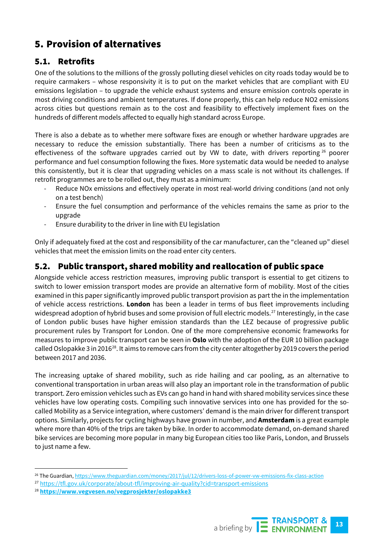# 5. Provision of alternatives

## 5.1. Retrofits

One of the solutions to the millions of the grossly polluting diesel vehicles on city roads today would be to require carmakers – whose responsivity it is to put on the market vehicles that are compliant with EU emissions legislation – to upgrade the vehicle exhaust systems and ensure emission controls operate in most driving conditions and ambient temperatures. If done properly, this can help reduce NO2 emissions across cities but questions remain as to the cost and feasibility to effectively implement fixes on the hundreds of different models affected to equally high standard across Europe.

There is also a debate as to whether mere software fixes are enough or whether hardware upgrades are necessary to reduce the emission substantially. There has been a number of criticisms as to the effectiveness of the software upgrades carried out by VW to date, with drivers reporting  $26$  poorer performance and fuel consumption following the fixes. More systematic data would be needed to analyse this consistently, but it is clear that upgrading vehicles on a mass scale is not without its challenges. If retrofit programmes are to be rolled out, they must as a minimum:

- Reduce NOx emissions and effectively operate in most real-world driving conditions (and not only on a test bench)
- Ensure the fuel consumption and performance of the vehicles remains the same as prior to the upgrade
- Ensure durability to the driver in line with EU legislation

Only if adequately fixed at the cost and responsibility of the car manufacturer, can the "cleaned up" diesel vehicles that meet the emission limits on the road enter city centers.

#### 5.2. Public transport, shared mobility and reallocation of public space

Alongside vehicle access restriction measures, improving public transport is essential to get citizens to switch to lower emission transport modes are provide an alternative form of mobility. Most of the cities examined in this paper significantly improved public transport provision as part the in the implementation of vehicle access restrictions. **London** has been a leader in terms of bus fleet improvements including widespread adoption of hybrid buses and some provision of full electric models.<sup>[27](#page-12-1)</sup> Interestingly, in the case of London public buses have higher emission standards than the LEZ because of progressive public procurement rules by Transport for London. One of the more comprehensive economic frameworks for measures to improve public transport can be seen in **Oslo** with the adoption of the EUR 10 billion package called Oslopakke 3 in 2016<sup>[28](#page-12-2)</sup>. It aims to remove cars from the city center altogether by 2019 covers the period between 2017 and 2036.

The increasing uptake of shared mobility, such as ride hailing and car pooling, as an alternative to conventional transportation in urban areas will also play an important role in the transformation of public transport. Zero emission vehicles such as EVs can go hand in hand with shared mobility services since these vehicles have low operating costs. Compiling such innovative services into one has provided for the socalled Mobility as a Service integration, where customers' demand is the main driver for different transport options. Similarly, projects for cycling highways have grown in number, and **Amsterdam** is a great example where more than 40% of the trips are taken by bike. In order to accommodate demand, on-demand shared bike services are becoming more popular in many big European cities too like Paris, London, and Brussels to just name a few.

<span id="page-12-2"></span><sup>28</sup> **<https://www.vegvesen.no/vegprosjekter/oslopakke3>**



<span id="page-12-0"></span> <sup>26</sup> The Guardian[, https://www.theguardian.com/money/2017/jul/12/drivers-loss-of-power-vw-emissions-fix-class-action](https://www.theguardian.com/money/2017/jul/12/drivers-loss-of-power-vw-emissions-fix-class-action)

<span id="page-12-1"></span><sup>&</sup>lt;sup>27</sup> <https://tfl.gov.uk/corporate/about-tfl/improving-air-quality?cid=transport-emissions>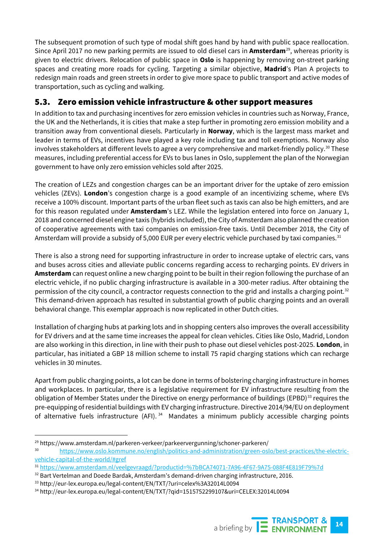The subsequent promotion of such type of modal shift goes hand by hand with public space reallocation. Since April 2017 no new parking permits are issued to old diesel cars in **Amsterdam**[29](#page-13-0), whereas priority is given to electric drivers. Relocation of public space in **Oslo** is happening by removing on-street parking spaces and creating more roads for cycling. Targeting a similar objective, **Madrid**'s Plan A projects to redesign main roads and green streets in order to give more space to public transport and active modes of transportation, such as cycling and walking.

#### 5.3. Zero emission vehicle infrastructure & other support measures

In addition to tax and purchasing incentives for zero emission vehicles in countries such as Norway, France, the UK and the Netherlands, it is cities that make a step further in promoting zero emission mobility and a transition away from conventional diesels. Particularly in **Norway**, which is the largest mass market and leader in terms of EVs, incentives have played a key role including tax and toll exemptions. Norway also involves stakeholders at different levels to agree a very comprehensive and market-friendly policy.<sup>[30](#page-13-1)</sup> These measures, including preferential access for EVs to bus lanes in Oslo, supplement the plan of the Norwegian government to have only zero emission vehicles sold after 2025.

The creation of LEZs and congestion charges can be an important driver for the uptake of zero emission vehicles (ZEVs). **London**'s congestion charge is a good example of an incentivizing scheme, where EVs receive a 100% discount. Important parts of the urban fleet such as taxis can also be high emitters, and are for this reason regulated under **Amsterdam**'s LEZ. While the legislation entered into force on January 1, 2018 and concerned diesel engine taxis (hybrids included), the City of Amsterdam also planned the creation of cooperative agreements with taxi companies on emission-free taxis. Until December 2018, the City of Amsterdam will provide a subsidy of 5,000 EUR per every electric vehicle purchased by taxi companies. [31](#page-13-2)

There is also a strong need for supporting infrastructure in order to increase uptake of electric cars, vans and buses across cities and alleviate public concerns regarding access to recharging points. EV drivers in **Amsterdam** can request online a new charging point to be built in their region following the purchase of an electric vehicle, if no public charging infrastructure is available in a 300-meter radius. After obtaining the permission of the city council, a contractor requests connection to the grid and installs a charging point.<sup>[32](#page-13-3)</sup> This demand-driven approach has resulted in substantial growth of public charging points and an overall behavioral change. This exemplar approach is now replicated in other Dutch cities.

Installation of charging hubs at parking lots and in shopping centers also improves the overall accessibility for EV drivers and at the same time increases the appeal for clean vehicles. Cities like Oslo, Madrid, London are also working in this direction, in line with their push to phase out diesel vehicles post-2025. **London**, in particular, has initiated a GBP 18 million scheme to install 75 rapid charging stations which can recharge vehicles in 30 minutes.

Apart from public charging points, a lot can be done in terms of bolstering charging infrastructure in homes and workplaces. In particular, there is a legislative requirement for EV infrastructure resulting from the obligation of Member States under the Directive on energy performance of buildings (EPBD)<sup>[33](#page-13-4)</sup> requires the pre-equipping of residential buildings with EV charging infrastructure. Directive 2014/94/EU on deployment of alternative fuels infrastructure (AFI).<sup>[34](#page-13-5)</sup> Mandates a minimum publicly accessible charging points

<span id="page-13-0"></span><sup>&</sup>lt;sup>29</sup> https://www.amsterdam.nl/parkeren-verkeer/parkeervergunning/schoner-parkeren/

<span id="page-13-1"></span>[https://www.oslo.kommune.no/english/politics-and-administration/green-oslo/best-practices/the-electric](https://www.oslo.kommune.no/english/politics-and-administration/green-oslo/best-practices/the-electric-vehicle-capital-of-the-world/#gref)[vehicle-capital-of-the-world/#gref](https://www.oslo.kommune.no/english/politics-and-administration/green-oslo/best-practices/the-electric-vehicle-capital-of-the-world/#gref)

<span id="page-13-2"></span><sup>31</sup> <https://www.amsterdam.nl/veelgevraagd/?productid=%7bBCA74071-7A96-4F67-9A75-088F4E819F79%7d>

<span id="page-13-3"></span><sup>&</sup>lt;sup>32</sup> Bart Vertelman and Doede Bardak, Amsterdam's demand-driven charging infrastructure, 2016.

<span id="page-13-4"></span><sup>33</sup> http://eur-lex.europa.eu/legal-content/EN/TXT/?uri=celex%3A32014L0094

<span id="page-13-5"></span><sup>34</sup> http://eur-lex.europa.eu/legal-content/EN/TXT/?qid=1515752299107&uri=CELEX:32014L0094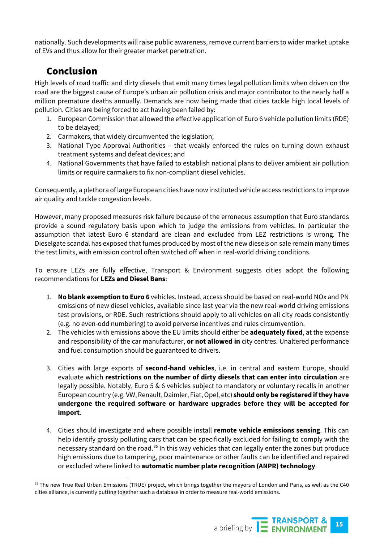nationally. Such developments will raise public awareness, remove current barriers to wider market uptake of EVs and thus allow for their greater market penetration.

## Conclusion

High levels of road traffic and dirty diesels that emit many times legal pollution limits when driven on the road are the biggest cause of Europe's urban air pollution crisis and major contributor to the nearly half a million premature deaths annually. Demands are now being made that cities tackle high local levels of pollution. Cities are being forced to act having been failed by:

- 1. European Commission that allowed the effective application of Euro 6 vehicle pollution limits (RDE) to be delayed;
- 2. Carmakers, that widely circumvented the legislation;
- 3. National Type Approval Authorities that weakly enforced the rules on turning down exhaust treatment systems and defeat devices; and
- 4. National Governments that have failed to establish national plans to deliver ambient air pollution limits or require carmakers to fix non-compliant diesel vehicles.

Consequently, a plethora of large European cities have now instituted vehicle access restrictions to improve air quality and tackle congestion levels.

However, many proposed measures risk failure because of the erroneous assumption that Euro standards provide a sound regulatory basis upon which to judge the emissions from vehicles. In particular the assumption that latest Euro 6 standard are clean and excluded from LEZ restrictions is wrong. The Dieselgate scandal has exposed that fumes produced by most of the new diesels on sale remain many times the test limits, with emission control often switched off when in real-world driving conditions.

To ensure LEZs are fully effective, Transport & Environment suggests cities adopt the following recommendations for **LEZs and Diesel Bans**:

- 1. **No blank exemption to Euro 6** vehicles. Instead, access should be based on real-world NOx and PN emissions of new diesel vehicles, available since last year via the new real-world driving emissions test provisions, or RDE. Such restrictions should apply to all vehicles on all city roads consistently (e.g. no even-odd numbering) to avoid perverse incentives and rules circumvention.
- 2. The vehicles with emissions above the EU limits should either be **adequately fixed**, at the expense and responsibility of the car manufacturer, **or not allowed in** city centres. Unaltered performance and fuel consumption should be guaranteed to drivers.
- 3. Cities with large exports of **second-hand vehicles**, i.e. in central and eastern Europe, should evaluate which **restrictions on the number of dirty diesels that can enter into circulation** are legally possible. Notably, Euro 5 & 6 vehicles subject to mandatory or voluntary recalls in another European country (e.g. VW, Renault, Daimler, Fiat, Opel, etc) **should only be registered if they have undergone the required software or hardware upgrades before they will be accepted for import**.
- 4. Cities should investigate and where possible install **remote vehicle emissions sensing**. This can help identify grossly polluting cars that can be specifically excluded for failing to comply with the necessary standard on the road.<sup>[35](#page-14-0)</sup> In this way vehicles that can legally enter the zones but produce high emissions due to tampering, poor maintenance or other faults can be identified and repaired or excluded where linked to **automatic number plate recognition (ANPR) technology**.

<span id="page-14-0"></span><sup>&</sup>lt;sup>35</sup> The new True Real Urban Emissions (TRUE) project, which brings together the mayors of London and Paris, as well as the C40 cities alliance, is currently putting together such a database in order to measure real-world emissions.